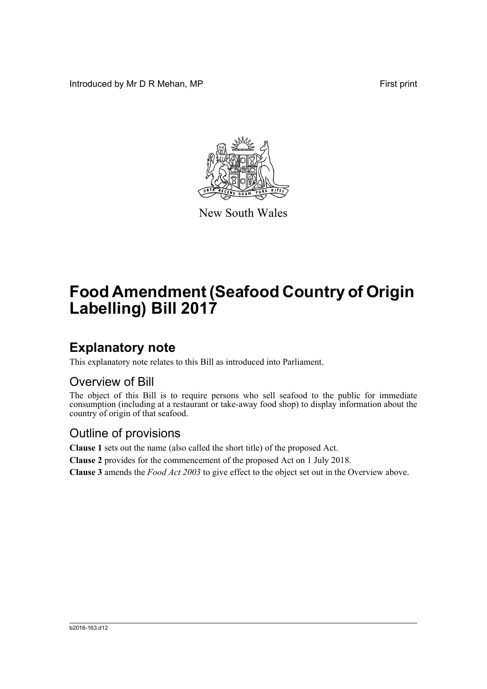Introduced by Mr D R Mehan, MP **First** print



New South Wales

# **Food Amendment (Seafood Country of Origin Labelling) Bill 2017**

### **Explanatory note**

This explanatory note relates to this Bill as introduced into Parliament.

#### Overview of Bill

The object of this Bill is to require persons who sell seafood to the public for immediate consumption (including at a restaurant or take-away food shop) to display information about the country of origin of that seafood.

#### Outline of provisions

**Clause 1** sets out the name (also called the short title) of the proposed Act.

**Clause 2** provides for the commencement of the proposed Act on 1 July 2018.

**Clause 3** amends the *Food Act 2003* to give effect to the object set out in the Overview above.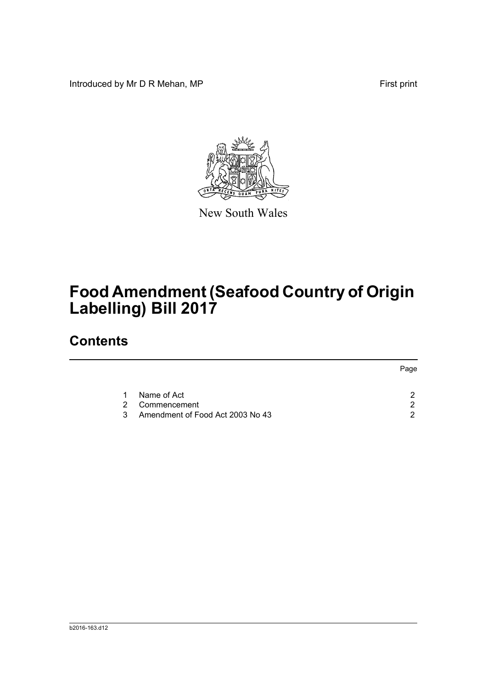Introduced by Mr D R Mehan, MP **First** print



New South Wales

# **Food Amendment (Seafood Country of Origin Labelling) Bill 2017**

## **Contents**

|               |                                  | Page |  |
|---------------|----------------------------------|------|--|
|               | Name of Act                      |      |  |
| $\mathcal{P}$ | Commencement                     | ◠    |  |
| $\mathcal{S}$ | Amendment of Food Act 2003 No 43 |      |  |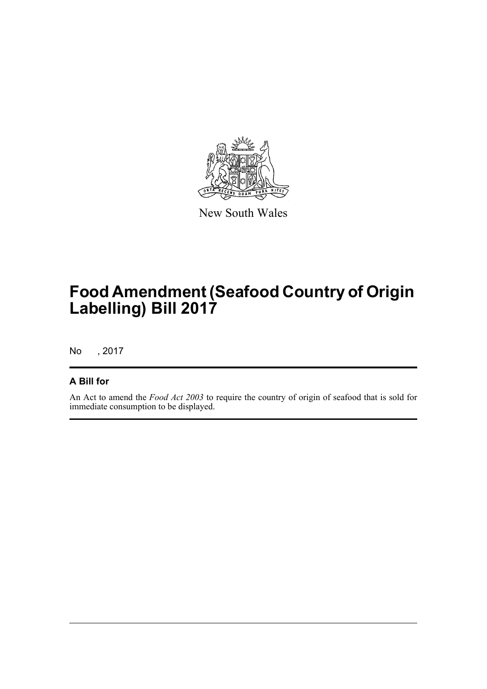

New South Wales

# **Food Amendment (Seafood Country of Origin Labelling) Bill 2017**

No , 2017

#### **A Bill for**

An Act to amend the *Food Act 2003* to require the country of origin of seafood that is sold for immediate consumption to be displayed.